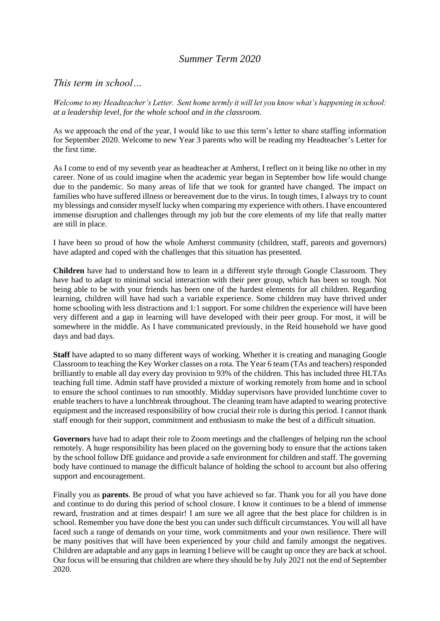# *Summer Term 2020*

# *This term in school…*

*Welcome to my Headteacher's Letter. Sent home termly it will let you know what's happening in school: at a leadership level, for the whole school and in the classroom.*

As we approach the end of the year, I would like to use this term's letter to share staffing information for September 2020. Welcome to new Year 3 parents who will be reading my Headteacher's Letter for the first time.

As I come to end of my seventh year as headteacher at Amherst, I reflect on it being like no other in my career. None of us could imagine when the academic year began in September how life would change due to the pandemic. So many areas of life that we took for granted have changed. The impact on families who have suffered illness or bereavement due to the virus. In tough times, I always try to count my blessings and consider myself lucky when comparing my experience with others. I have encountered immense disruption and challenges through my job but the core elements of my life that really matter are still in place.

I have been so proud of how the whole Amherst community (children, staff, parents and governors) have adapted and coped with the challenges that this situation has presented.

**Children** have had to understand how to learn in a different style through Google Classroom. They have had to adapt to minimal social interaction with their peer group, which has been so tough. Not being able to be with your friends has been one of the hardest elements for all children. Regarding learning, children will have had such a variable experience. Some children may have thrived under home schooling with less distractions and 1:1 support. For some children the experience will have been very different and a gap in learning will have developed with their peer group. For most, it will be somewhere in the middle. As I have communicated previously, in the Reid household we have good days and bad days.

**Staff** have adapted to so many different ways of working. Whether it is creating and managing Google Classroom to teaching the Key Worker classes on a rota. The Year 6 team (TAs and teachers) responded brilliantly to enable all day every day provision to 93% of the children. This has included three HLTAs teaching full time. Admin staff have provided a mixture of working remotely from home and in school to ensure the school continues to run smoothly. Midday supervisors have provided lunchtime cover to enable teachers to have a lunchbreak throughout. The cleaning team have adapted to wearing protective equipment and the increased responsibility of how crucial their role is during this period. I cannot thank staff enough for their support, commitment and enthusiasm to make the best of a difficult situation.

**Governors** have had to adapt their role to Zoom meetings and the challenges of helping run the school remotely. A huge responsibility has been placed on the governing body to ensure that the actions taken by the school follow DfE guidance and provide a safe environment for children and staff. The governing body have continued to manage the difficult balance of holding the school to account but also offering support and encouragement.

Finally you as **parents**. Be proud of what you have achieved so far. Thank you for all you have done and continue to do during this period of school closure. I know it continues to be a blend of immense reward, frustration and at times despair! I am sure we all agree that the best place for children is in school. Remember you have done the best you can under such difficult circumstances. You will all have faced such a range of demands on your time, work commitments and your own resilience. There will be many positives that will have been experienced by your child and family amongst the negatives. Children are adaptable and any gaps in learning I believe will be caught up once they are back at school. Our focus will be ensuring that children are where they should be by July 2021 not the end of September 2020.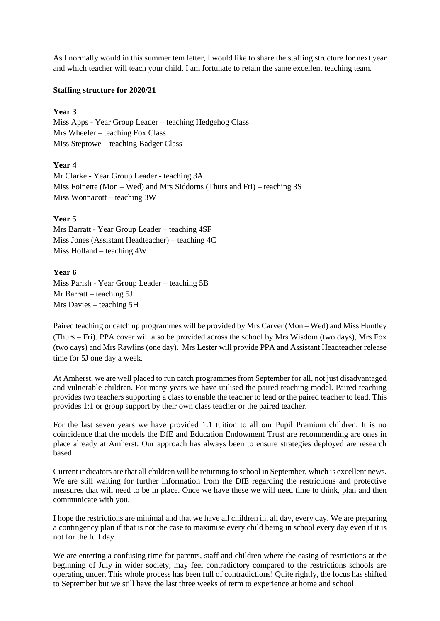As I normally would in this summer tem letter, I would like to share the staffing structure for next year and which teacher will teach your child. I am fortunate to retain the same excellent teaching team.

#### **Staffing structure for 2020/21**

#### **Year 3**

Miss Apps - Year Group Leader – teaching Hedgehog Class Mrs Wheeler – teaching Fox Class Miss Steptowe – teaching Badger Class

## **Year 4**

Mr Clarke - Year Group Leader - teaching 3A Miss Foinette (Mon – Wed) and Mrs Siddorns (Thurs and Fri) – teaching 3S Miss Wonnacott – teaching 3W

#### **Year 5**

Mrs Barratt - Year Group Leader – teaching 4SF Miss Jones (Assistant Headteacher) – teaching 4C Miss Holland – teaching 4W

### **Year 6**

Miss Parish - Year Group Leader – teaching 5B Mr Barratt – teaching 5J Mrs Davies – teaching 5H

Paired teaching or catch up programmes will be provided by Mrs Carver (Mon – Wed) and Miss Huntley (Thurs – Fri). PPA cover will also be provided across the school by Mrs Wisdom (two days), Mrs Fox (two days) and Mrs Rawlins (one day). Mrs Lester will provide PPA and Assistant Headteacher release time for 5J one day a week.

At Amherst, we are well placed to run catch programmes from September for all, not just disadvantaged and vulnerable children. For many years we have utilised the paired teaching model. Paired teaching provides two teachers supporting a class to enable the teacher to lead or the paired teacher to lead. This provides 1:1 or group support by their own class teacher or the paired teacher.

For the last seven years we have provided 1:1 tuition to all our Pupil Premium children. It is no coincidence that the models the DfE and Education Endowment Trust are recommending are ones in place already at Amherst. Our approach has always been to ensure strategies deployed are research based.

Current indicators are that all children will be returning to school in September, which is excellent news. We are still waiting for further information from the DfE regarding the restrictions and protective measures that will need to be in place. Once we have these we will need time to think, plan and then communicate with you.

I hope the restrictions are minimal and that we have all children in, all day, every day. We are preparing a contingency plan if that is not the case to maximise every child being in school every day even if it is not for the full day.

We are entering a confusing time for parents, staff and children where the easing of restrictions at the beginning of July in wider society, may feel contradictory compared to the restrictions schools are operating under. This whole process has been full of contradictions! Quite rightly, the focus has shifted to September but we still have the last three weeks of term to experience at home and school.